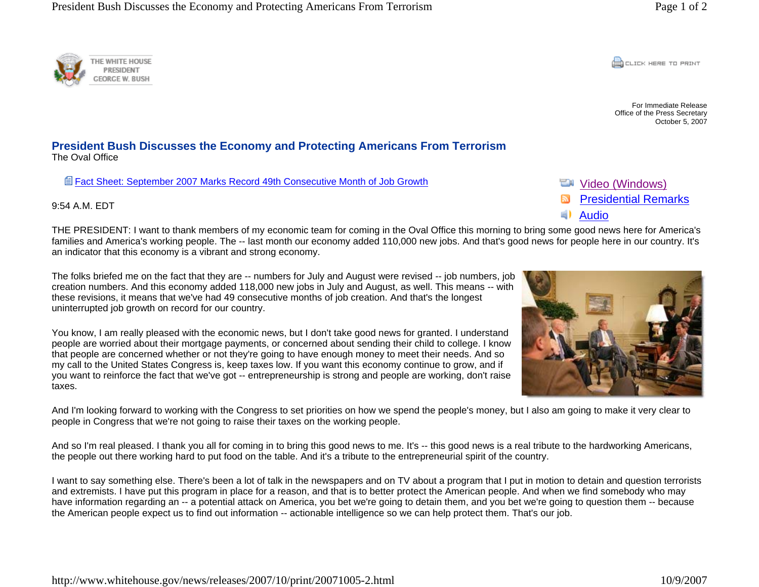**CONCRETE PRINT** 

For Immediate Release Office of the Press Secretary October 5, 2007

**President Bush Discusses the Economy and Protecting Americans From Terrorism** 

Fact Sheet: September 2007 Marks Record 49th Consecutive Month of Job Growth

9:54 A.M. EDT

The Oval Office

THE PRESIDENT: I want to thank members of my economic team for coming in the Oval Office this morning to bring some good news here for America's families and America's working people. The -- last month our economy added 110,000 new jobs. And that's good news for people here in our country. It's an indicator that this economy is a vibrant and strong economy.

The folks briefed me on the fact that they are -- numbers for July and August were revised -- job numbers, job creation numbers. And this economy added 118,000 new jobs in July and August, as well. This means -- with these revisions, it means that we've had 49 consecutive months of job creation. And that's the longest uninterrupted job growth on record for our country.

You know, I am really pleased with the economic news, but I don't take good news for granted. I understand people are worried about their mortgage payments, or concerned about sending their child to college. I know that people are concerned whether or not they're going to have enough money to meet their needs. And so my call to the United States Congress is, keep taxes low. If you want this economy continue to grow, and if you want to reinforce the fact that we've got -- entrepreneurship is strong and people are working, don't raise taxes.

And I'm looking forward to working with the Congress to set priorities on how we spend the people's money, but I also am going to make it very clear to people in Congress that we're not going to raise their taxes on the working people.

And so I'm real pleased. I thank you all for coming in to bring this good news to me. It's -- this good news is a real tribute to the hardworking Americans, the people out there working hard to put food on the table. And it's a tribute to the entrepreneurial spirit of the country.

I want to say something else. There's been a lot of talk in the newspapers and on TV about a program that I put in motion to detain and question terrorists and extremists. I have put this program in place for a reason, and that is to better protect the American people. And when we find somebody who may have information regarding an -- a potential attack on America, you bet we're going to detain them, and you bet we're going to question them -- because the American people expect us to find out information -- actionable intelligence so we can help protect them. That's our job.



Video (Windows)

Audio

Presidential Remarks